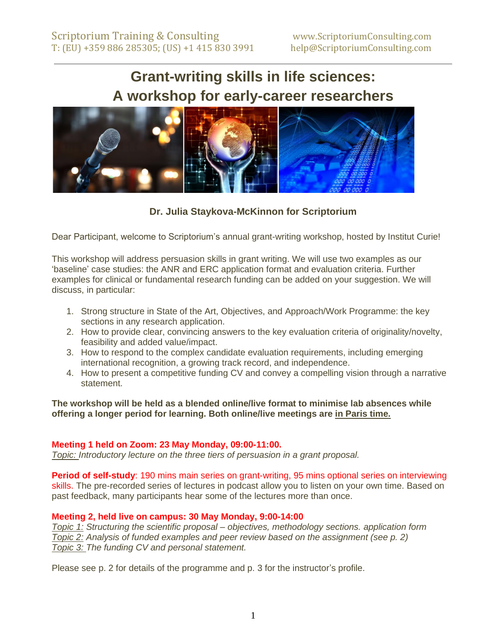# **Grant-writing skills in life sciences: A workshop for early-career researchers**



**Dr. Julia Staykova-McKinnon for Scriptorium**

Dear Participant, welcome to Scriptorium's annual grant-writing workshop, hosted by Institut Curie!

This workshop will address persuasion skills in grant writing. We will use two examples as our 'baseline' case studies: the ANR and ERC application format and evaluation criteria. Further examples for clinical or fundamental research funding can be added on your suggestion. We will discuss, in particular:

- 1. Strong structure in State of the Art, Objectives, and Approach/Work Programme: the key sections in any research application.
- 2. How to provide clear, convincing answers to the key evaluation criteria of originality/novelty, feasibility and added value/impact.
- 3. How to respond to the complex candidate evaluation requirements, including emerging international recognition, a growing track record, and independence.
- 4. How to present a competitive funding CV and convey a compelling vision through a narrative statement.

**The workshop will be held as a blended online/live format to minimise lab absences while offering a longer period for learning. Both online/live meetings are in Paris time.** 

### **Meeting 1 held on Zoom: 23 May Monday, 09:00-11:00.**

*Topic: Introductory lecture on the three tiers of persuasion in a grant proposal.*

**Period of self-study**: 190 mins main series on grant-writing, 95 mins optional series on interviewing skills. The pre-recorded series of lectures in podcast allow you to listen on your own time. Based on past feedback, many participants hear some of the lectures more than once.

### **Meeting 2, held live on campus: 30 May Monday, 9:00-14:00**

*Topic 1: Structuring the scientific proposal – objectives, methodology sections. application form Topic 2: Analysis of funded examples and peer review based on the assignment (see p. 2) Topic 3: The funding CV and personal statement.* 

Please see p. 2 for details of the programme and p. 3 for the instructor's profile.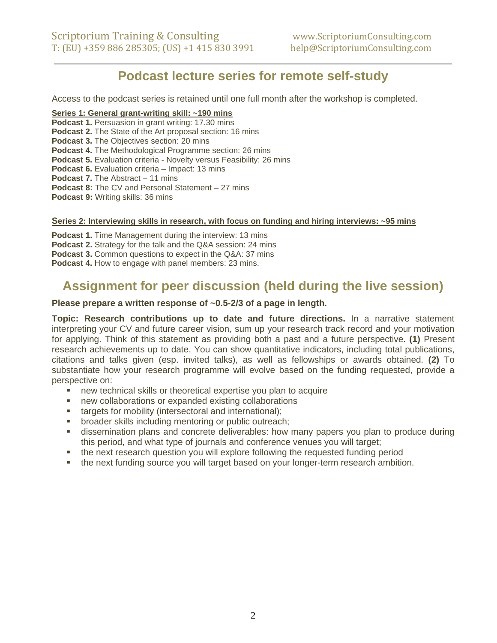## **Podcast lecture series for remote self-study**

Access to the podcast series is retained until one full month after the workshop is completed.

#### **Series 1: General grant-writing skill: ~190 mins**

**Podcast 1.** Persuasion in grant writing: 17.30 mins **Podcast 2.** The State of the Art proposal section: 16 mins **Podcast 3.** The Objectives section: 20 mins **Podcast 4.** The Methodological Programme section: 26 mins **Podcast 5.** Evaluation criteria - Novelty versus Feasibility: 26 mins **Podcast 6.** Evaluation criteria – Impact: 13 mins **Podcast 7.** The Abstract – 11 mins **Podcast 8:** The CV and Personal Statement – 27 mins **Podcast 9: Writing skills: 36 mins** 

#### **Series 2: Interviewing skills in research, with focus on funding and hiring interviews: ~95 mins**

**Podcast 1.** Time Management during the interview: 13 mins

- **Podcast 2.** Strategy for the talk and the Q&A session: 24 mins
- **Podcast 3.** Common questions to expect in the Q&A: 37 mins

**Podcast 4.** How to engage with panel members: 23 mins.

## **Assignment for peer discussion (held during the live session)**

#### **Please prepare a written response of ~0.5-2/3 of a page in length.**

**Topic: Research contributions up to date and future directions.** In a narrative statement interpreting your CV and future career vision, sum up your research track record and your motivation for applying. Think of this statement as providing both a past and a future perspective. **(1)** Present research achievements up to date. You can show quantitative indicators, including total publications, citations and talks given (esp. invited talks), as well as fellowships or awards obtained. **(2)** To substantiate how your research programme will evolve based on the funding requested, provide a perspective on:

- new technical skills or theoretical expertise you plan to acquire
- new collaborations or expanded existing collaborations
- **E** targets for mobility (intersectoral and international);
- **•** broader skills including mentoring or public outreach;
- **EXED** dissemination plans and concrete deliverables: how many papers you plan to produce during this period, and what type of journals and conference venues you will target;
- the next research question you will explore following the requested funding period
- **•** the next funding source you will target based on your longer-term research ambition.